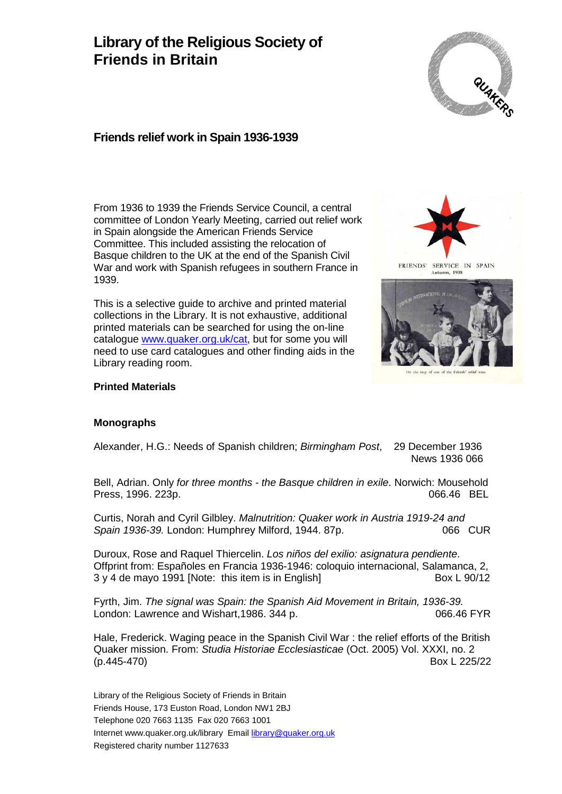# **Library of the Religious Society of Friends in Britain**



# **Friends relief work in Spain 1936-1939**

From 1936 to 1939 the Friends Service Council, a central committee of London Yearly Meeting, carried out relief work in Spain alongside the American Friends Service Committee. This included assisting the relocation of Basque children to the UK at the end of the Spanish Civil War and work with Spanish refugees in southern France in 1939.

This is a selective guide to archive and printed material collections in the Library. It is not exhaustive, additional printed materials can be searched for using the on-line catalogue [www.quaker.org.uk/cat,](http://www.quaker.org.uk/cat) but for some you will need to use card catalogues and other finding aids in the Library reading room.



FRIENDS' SERVICE IN SPAIN an, 1938



#### **Printed Materials**

#### **Monographs**

Alexander, H.G.: Needs of Spanish children; *Birmingham Post*, 29 December 1936 News 1936 066

Bell, Adrian. Only *for three months - the Basque children in exile*. Norwich: Mousehold Press, 1996. 223p.

Curtis, Norah and Cyril Gilbley. *Malnutrition: Quaker work in Austria 1919-24 and Spain 1936-39.* London: Humphrey Milford, 1944. 87p.

Duroux, Rose and Raquel Thiercelin. *Los niños del exilio: asignatura pendiente*. Offprint from: Españoles en Francia 1936-1946: coloquio internacional, Salamanca, 2,  $3 y 4$  de mayo 1991 [Note: this item is in English]

Fyrth, Jim. *The signal was Spain: the Spanish Aid Movement in Britain, 1936-39.*  London: Lawrence and Wishart, 1986. 344 p. 066.46 FYR

Hale, Frederick. Waging peace in the Spanish Civil War : the relief efforts of the British Quaker mission. From: *Studia Historiae Ecclesiasticae* (Oct. 2005) Vol. XXXI, no. 2 (p.445-470) Box L 225/22

Library of the Religious Society of Friends in Britain Friends House, 173 Euston Road, London NW1 2BJ Telephone 020 7663 1135 Fax 020 7663 1001 Internet www.quaker.org.uk/library Email [library@quaker.org.uk](mailto:library@quaker.org.uk) Registered charity number 1127633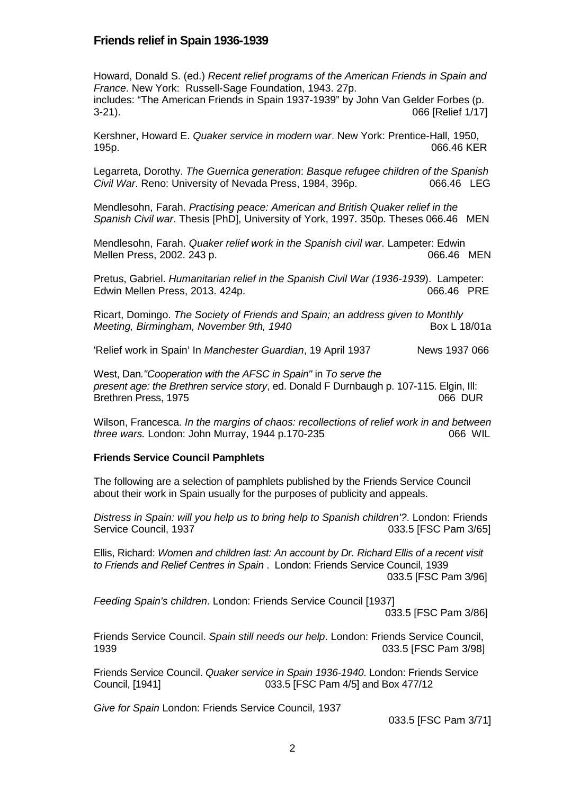### **Friends relief in Spain 1936-1939**

Howard, Donald S. (ed.) *Recent relief programs of the American Friends in Spain and France*. New York: Russell-Sage Foundation, 1943. 27p. includes: "The American Friends in Spain 1937-1939" by John Van Gelder Forbes (p. 3-21). 066 [Relief 1/17]

Kershner, Howard E. *Quaker service in modern war*. New York: Prentice-Hall, 1950, 195p. 066.46 KER

Legarreta, Dorothy. *The Guernica generation*: *Basque refugee children of the Spanish Civil War.* Reno: University of Nevada Press, 1984, 396p. 066.46 LEG

Mendlesohn, Farah. *Practising peace: American and British Quaker relief in the Spanish Civil war*. Thesis [PhD], University of York, 1997. 350p. Theses 066.46 MEN

Mendlesohn, Farah. *Quaker relief work in the Spanish civil war*. Lampeter: Edwin Mellen Press, 2002. 243 p. 066.46 MEN

Pretus, Gabriel. *Humanitarian relief in the Spanish Civil War (1936-1939*). Lampeter: Edwin Mellen Press, 2013. 424p. 066.46 PRE

Ricart, Domingo. *The Society of Friends and Spain; an address given to Monthly Meeting, Birmingham, November 9th, 1940* **Box L 18/01a** 

'Relief work in Spain' In *Manchester Guardian*, 19 April 1937 News 1937 066

West, Dan*."Cooperation with the AFSC in Spain"* in *To serve the present age: the Brethren service story*, ed. Donald F Durnbaugh p. 107-115. Elgin, Ill: Brethren Press, 1975

Wilson, Francesca. *In the margins of chaos: recollections of relief work in and between three wars.* London: John Murray, 1944 p.170-235 066 WIL

#### **Friends Service Council Pamphlets**

The following are a selection of pamphlets published by the Friends Service Council about their work in Spain usually for the purposes of publicity and appeals.

*Distress in Spain: will you help us to bring help to Spanish children'?*. London: Friends Service Council, 1937 **Data and Service Council, 1937 033.5 [FSC Pam 3/65]** 

Ellis, Richard: *Women and children last: An account by Dr. Richard Ellis of a recent visit to Friends and Relief Centres in Spain* . London: Friends Service Council, 1939 033.5 [FSC Pam 3/96]

*Feeding Spain's children*. London: Friends Service Council [1937]

033.5 [FSC Pam 3/86]

Friends Service Council. *Spain still needs our help*. London: Friends Service Council, 1939 033.5 [FSC Pam 3/98]

Friends Service Council. *Quaker service in Spain 1936-1940*. London: Friends Service Council, [1941] 033.5 [FSC Pam 4/5] and Box 477/12

*Give for Spain* London: Friends Service Council, 1937

033.5 [FSC Pam 3/71]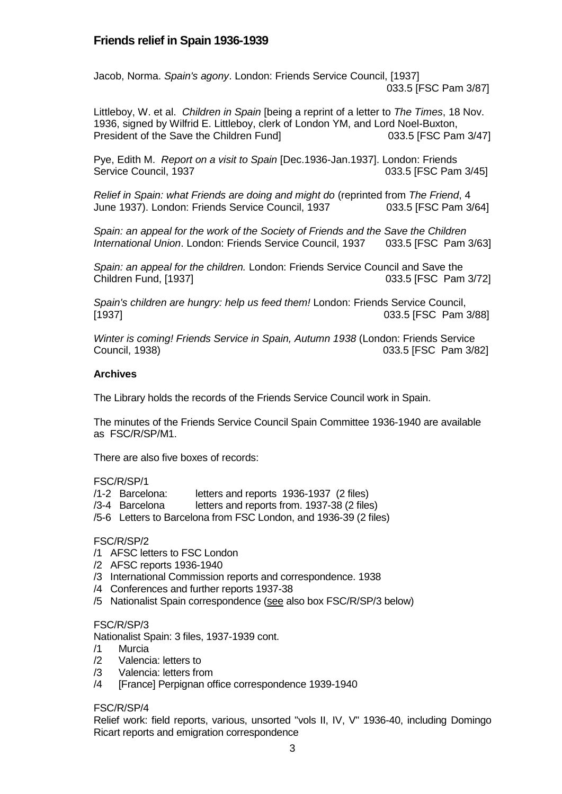# **Friends relief in Spain 1936-1939**

Jacob, Norma. *Spain's agony*. London: Friends Service Council, [1937] 033.5 [FSC Pam 3/87]

Littleboy, W. et al. *Children in Spain* [being a reprint of a letter to *The Times*, 18 Nov. 1936, signed by Wilfrid E. Littleboy, clerk of London YM, and Lord Noel-Buxton, President of the Save the Children Fund] 033.5 [FSC Pam 3/47]

Pye, Edith M. *Report on a visit to Spain* [Dec.1936-Jan.1937]. London: Friends Service Council, 1937 **Data and Service Council, 1937 033.5** [FSC Pam 3/45]

*Relief in Spain: what Friends are doing and might do* (reprinted from *The Friend*, 4 June 1937). London: Friends Service Council, 1937

*Spain: an appeal for the work of the Society of Friends and the Save the Children International Union*. London: Friends Service Council, 1937 033.5 [FSC Pam 3/63]

*Spain: an appeal for the children.* London: Friends Service Council and Save the Children Fund, [1937] 033.5 [FSC Pam 3/72]

*Spain's children are hungry: help us feed them!* London: Friends Service Council, [1937] 033.5 [FSC Pam 3/88]

*Winter is coming! Friends Service in Spain, Autumn 1938* (London: Friends Service Council, 1938) 033.5 [FSC Pam 3/82]

#### **Archives**

The Library holds the records of the Friends Service Council work in Spain.

The minutes of the Friends Service Council Spain Committee 1936-1940 are available as FSC/R/SP/M1.

There are also five boxes of records:

#### FSC/R/SP/1

- /1-2 Barcelona: letters and reports 1936-1937 (2 files)
- /3-4 Barcelona letters and reports from. 1937-38 (2 files)
- /5-6 Letters to Barcelona from FSC London, and 1936-39 (2 files)

#### FSC/R/SP/2

- /1 AFSC letters to FSC London
- /2 AFSC reports 1936-1940
- /3 International Commission reports and correspondence. 1938
- /4 Conferences and further reports 1937-38
- /5 Nationalist Spain correspondence (see also box FSC/R/SP/3 below)

#### FSC/R/SP/3

Nationalist Spain: 3 files, 1937-1939 cont.

- /1 Murcia
- Valencia: letters to
- /3 Valencia: letters from
- /4 [France] Perpignan office correspondence 1939-1940

#### FSC/R/SP/4

Relief work: field reports, various, unsorted "vols II, IV, V" 1936-40, including Domingo Ricart reports and emigration correspondence